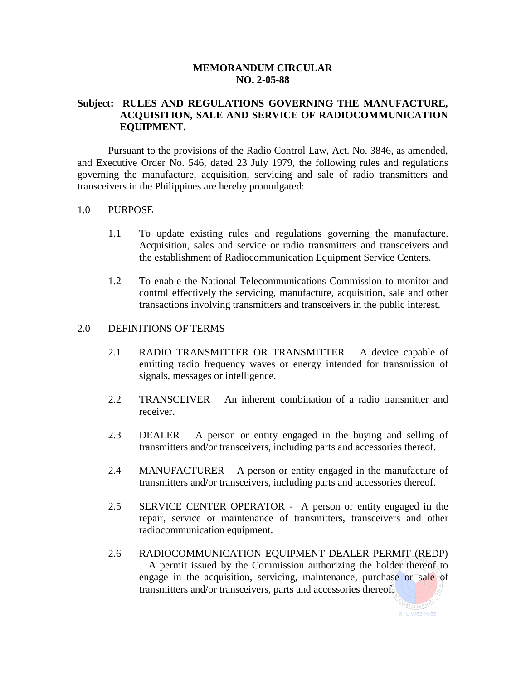#### **MEMORANDUM CIRCULAR NO. 2-05-88**

## **Subject: RULES AND REGULATIONS GOVERNING THE MANUFACTURE, ACQUISITION, SALE AND SERVICE OF RADIOCOMMUNICATION EQUIPMENT.**

Pursuant to the provisions of the Radio Control Law, Act. No. 3846, as amended, and Executive Order No. 546, dated 23 July 1979, the following rules and regulations governing the manufacture, acquisition, servicing and sale of radio transmitters and transceivers in the Philippines are hereby promulgated:

#### 1.0 PURPOSE

- 1.1 To update existing rules and regulations governing the manufacture. Acquisition, sales and service or radio transmitters and transceivers and the establishment of Radiocommunication Equipment Service Centers.
- 1.2 To enable the National Telecommunications Commission to monitor and control effectively the servicing, manufacture, acquisition, sale and other transactions involving transmitters and transceivers in the public interest.

#### 2.0 DEFINITIONS OF TERMS

- 2.1 RADIO TRANSMITTER OR TRANSMITTER A device capable of emitting radio frequency waves or energy intended for transmission of signals, messages or intelligence.
- 2.2 TRANSCEIVER An inherent combination of a radio transmitter and receiver.
- 2.3 DEALER A person or entity engaged in the buying and selling of transmitters and/or transceivers, including parts and accessories thereof.
- 2.4 MANUFACTURER A person or entity engaged in the manufacture of transmitters and/or transceivers, including parts and accessories thereof.
- 2.5 SERVICE CENTER OPERATOR A person or entity engaged in the repair, service or maintenance of transmitters, transceivers and other radiocommunication equipment.
- 2.6 RADIOCOMMUNICATION EQUIPMENT DEALER PERMIT (REDP) – A permit issued by the Commission authorizing the holder thereof to engage in the acquisition, servicing, maintenance, purchase or sale of transmitters and/or transceivers, parts and accessories thereof.

OMM1SSIO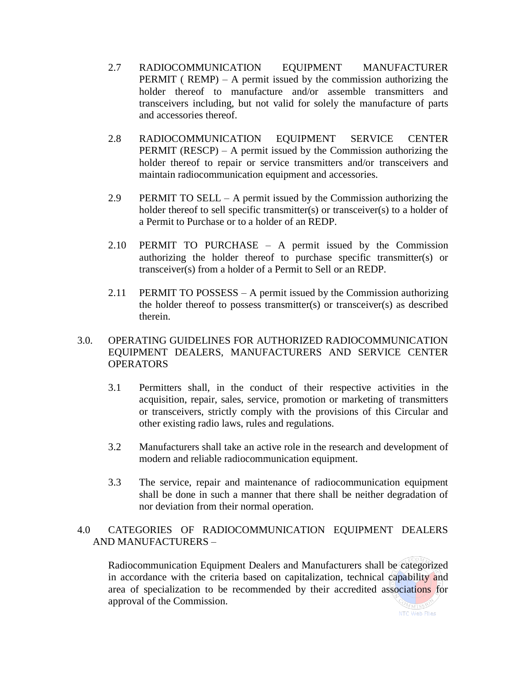- 2.7 RADIOCOMMUNICATION EQUIPMENT MANUFACTURER **PERMIT** ( $REMP$ ) – A permit issued by the commission authorizing the holder thereof to manufacture and/or assemble transmitters and transceivers including, but not valid for solely the manufacture of parts and accessories thereof.
- 2.8 RADIOCOMMUNICATION EQUIPMENT SERVICE CENTER **PERMIT** (RESCP) – A permit issued by the Commission authorizing the holder thereof to repair or service transmitters and/or transceivers and maintain radiocommunication equipment and accessories.
- 2.9 PERMIT TO SELL A permit issued by the Commission authorizing the holder thereof to sell specific transmitter(s) or transceiver(s) to a holder of a Permit to Purchase or to a holder of an REDP.
- 2.10 PERMIT TO PURCHASE A permit issued by the Commission authorizing the holder thereof to purchase specific transmitter(s) or transceiver(s) from a holder of a Permit to Sell or an REDP.
- 2.11 PERMIT TO POSSESS A permit issued by the Commission authorizing the holder thereof to possess transmitter(s) or transceiver(s) as described therein.

## 3.0. OPERATING GUIDELINES FOR AUTHORIZED RADIOCOMMUNICATION EQUIPMENT DEALERS, MANUFACTURERS AND SERVICE CENTER **OPERATORS**

- 3.1 Permitters shall, in the conduct of their respective activities in the acquisition, repair, sales, service, promotion or marketing of transmitters or transceivers, strictly comply with the provisions of this Circular and other existing radio laws, rules and regulations.
- 3.2 Manufacturers shall take an active role in the research and development of modern and reliable radiocommunication equipment.
- 3.3 The service, repair and maintenance of radiocommunication equipment shall be done in such a manner that there shall be neither degradation of nor deviation from their normal operation.

# 4.0 CATEGORIES OF RADIOCOMMUNICATION EQUIPMENT DEALERS AND MANUFACTURERS –

Radiocommunication Equipment Dealers and Manufacturers shall be categorized in accordance with the criteria based on capitalization, technical capability and area of specialization to be recommended by their accredited associations for approval of the Commission.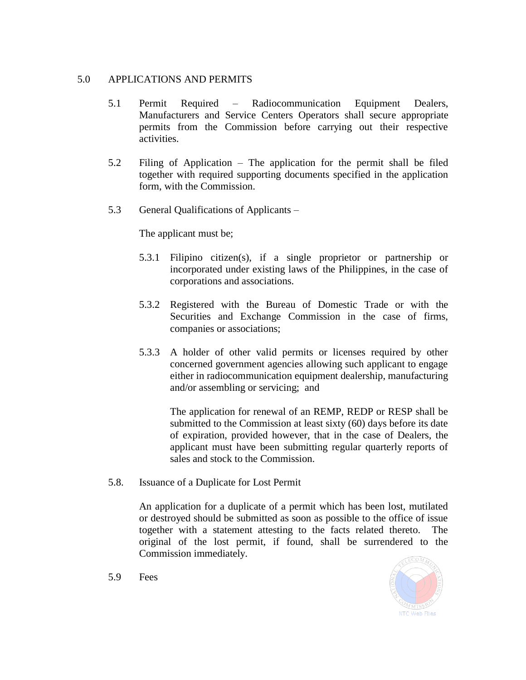## 5.0 APPLICATIONS AND PERMITS

- 5.1 Permit Required Radiocommunication Equipment Dealers, Manufacturers and Service Centers Operators shall secure appropriate permits from the Commission before carrying out their respective activities.
- 5.2 Filing of Application The application for the permit shall be filed together with required supporting documents specified in the application form, with the Commission.
- 5.3 General Qualifications of Applicants –

The applicant must be;

- 5.3.1 Filipino citizen(s), if a single proprietor or partnership or incorporated under existing laws of the Philippines, in the case of corporations and associations.
- 5.3.2 Registered with the Bureau of Domestic Trade or with the Securities and Exchange Commission in the case of firms, companies or associations;
- 5.3.3 A holder of other valid permits or licenses required by other concerned government agencies allowing such applicant to engage either in radiocommunication equipment dealership, manufacturing and/or assembling or servicing; and

The application for renewal of an REMP, REDP or RESP shall be submitted to the Commission at least sixty (60) days before its date of expiration, provided however, that in the case of Dealers, the applicant must have been submitting regular quarterly reports of sales and stock to the Commission.

5.8. Issuance of a Duplicate for Lost Permit

An application for a duplicate of a permit which has been lost, mutilated or destroyed should be submitted as soon as possible to the office of issue together with a statement attesting to the facts related thereto. The original of the lost permit, if found, shall be surrendered to the Commission immediately.



5.9 Fees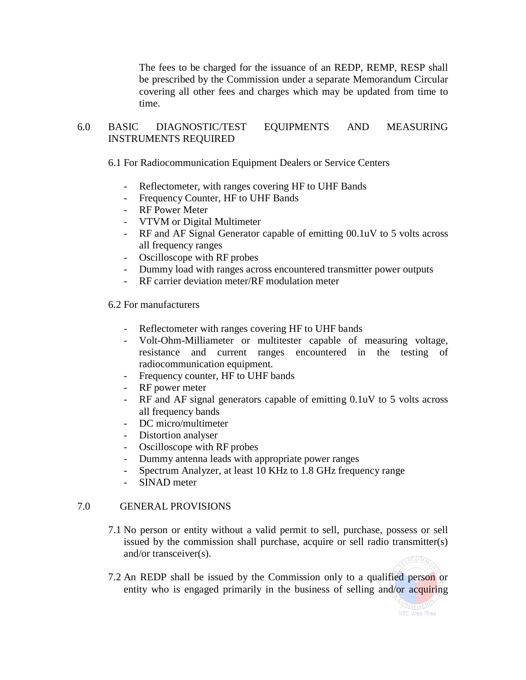The fees to be charged for the issuance of an REDP, REMP, RESP shall be prescribed by the Commission under a separate Memorandum Circular covering all other fees and charges which may be updated from time to time.

# 6.0 BASIC DIAGNOSTIC/TEST EQUIPMENTS AND MEASURING INSTRUMENTS REQUIRED

6.1 For Radiocommunication Equipment Dealers or Service Centers

- Reflectometer, with ranges covering HF to UHF Bands
- Frequency Counter, HF to UHF Bands
- RF Power Meter
- VTVM or Digital Multimeter
- RF and AF Signal Generator capable of emitting 00.1uV to 5 volts across all frequency ranges
- Oscilloscope with RF probes
- Dummy load with ranges across encountered transmitter power outputs
- RF carrier deviation meter/RF modulation meter

6.2 For manufacturers

- Reflectometer with ranges covering HF to UHF bands
- Volt-Ohm-Milliameter or multitester capable of measuring voltage, resistance and current ranges encountered in the testing of radiocommunication equipment.
- Frequency counter, HF to UHF bands
- RF power meter
- RF and AF signal generators capable of emitting 0.1uV to 5 volts across all frequency bands
- DC micro/multimeter
- Distortion analyser
- Oscilloscope with RF probes
- Dummy antenna leads with appropriate power ranges
- Spectrum Analyzer, at least 10 KHz to 1.8 GHz frequency range
- SINAD meter

### 7.0 GENERAL PROVISIONS

- 7.1 No person or entity without a valid permit to sell, purchase, possess or sell issued by the commission shall purchase, acquire or sell radio transmitter(s) and/or transceiver(s).
- 7.2 An REDP shall be issued by the Commission only to a qualified person or entity who is engaged primarily in the business of selling and/or acquiring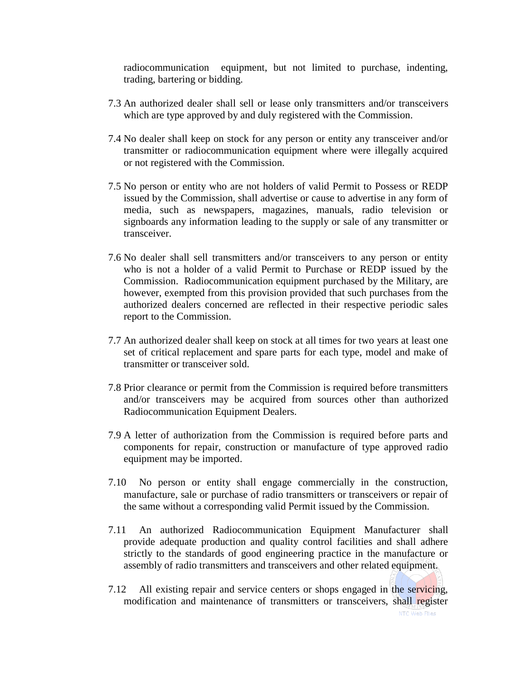radiocommunication equipment, but not limited to purchase, indenting, trading, bartering or bidding.

- 7.3 An authorized dealer shall sell or lease only transmitters and/or transceivers which are type approved by and duly registered with the Commission.
- 7.4 No dealer shall keep on stock for any person or entity any transceiver and/or transmitter or radiocommunication equipment where were illegally acquired or not registered with the Commission.
- 7.5 No person or entity who are not holders of valid Permit to Possess or REDP issued by the Commission, shall advertise or cause to advertise in any form of media, such as newspapers, magazines, manuals, radio television or signboards any information leading to the supply or sale of any transmitter or transceiver.
- 7.6 No dealer shall sell transmitters and/or transceivers to any person or entity who is not a holder of a valid Permit to Purchase or REDP issued by the Commission. Radiocommunication equipment purchased by the Military, are however, exempted from this provision provided that such purchases from the authorized dealers concerned are reflected in their respective periodic sales report to the Commission.
- 7.7 An authorized dealer shall keep on stock at all times for two years at least one set of critical replacement and spare parts for each type, model and make of transmitter or transceiver sold.
- 7.8 Prior clearance or permit from the Commission is required before transmitters and/or transceivers may be acquired from sources other than authorized Radiocommunication Equipment Dealers.
- 7.9 A letter of authorization from the Commission is required before parts and components for repair, construction or manufacture of type approved radio equipment may be imported.
- 7.10 No person or entity shall engage commercially in the construction, manufacture, sale or purchase of radio transmitters or transceivers or repair of the same without a corresponding valid Permit issued by the Commission.
- 7.11 An authorized Radiocommunication Equipment Manufacturer shall provide adequate production and quality control facilities and shall adhere strictly to the standards of good engineering practice in the manufacture or assembly of radio transmitters and transceivers and other related equipment.
- 7.12 All existing repair and service centers or shops engaged in the servicing, modification and maintenance of transmitters or transceivers, shall register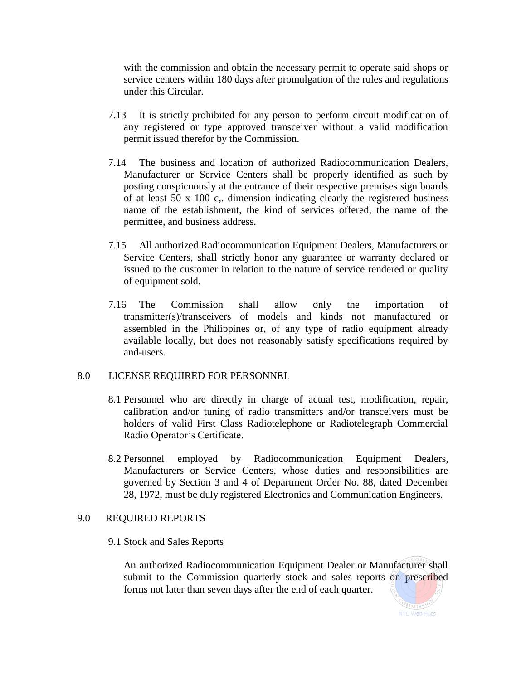with the commission and obtain the necessary permit to operate said shops or service centers within 180 days after promulgation of the rules and regulations under this Circular.

- 7.13 It is strictly prohibited for any person to perform circuit modification of any registered or type approved transceiver without a valid modification permit issued therefor by the Commission.
- 7.14 The business and location of authorized Radiocommunication Dealers, Manufacturer or Service Centers shall be properly identified as such by posting conspicuously at the entrance of their respective premises sign boards of at least 50 x 100 c,. dimension indicating clearly the registered business name of the establishment, the kind of services offered, the name of the permittee, and business address.
- 7.15 All authorized Radiocommunication Equipment Dealers, Manufacturers or Service Centers, shall strictly honor any guarantee or warranty declared or issued to the customer in relation to the nature of service rendered or quality of equipment sold.
- 7.16 The Commission shall allow only the importation of transmitter(s)/transceivers of models and kinds not manufactured or assembled in the Philippines or, of any type of radio equipment already available locally, but does not reasonably satisfy specifications required by and-users.

#### 8.0 LICENSE REQUIRED FOR PERSONNEL

- 8.1 Personnel who are directly in charge of actual test, modification, repair, calibration and/or tuning of radio transmitters and/or transceivers must be holders of valid First Class Radiotelephone or Radiotelegraph Commercial Radio Operator's Certificate.
- 8.2 Personnel employed by Radiocommunication Equipment Dealers, Manufacturers or Service Centers, whose duties and responsibilities are governed by Section 3 and 4 of Department Order No. 88, dated December 28, 1972, must be duly registered Electronics and Communication Engineers.

#### 9.0 REQUIRED REPORTS

#### 9.1 Stock and Sales Reports

An authorized Radiocommunication Equipment Dealer or Manufacturer shall submit to the Commission quarterly stock and sales reports on prescribed forms not later than seven days after the end of each quarter.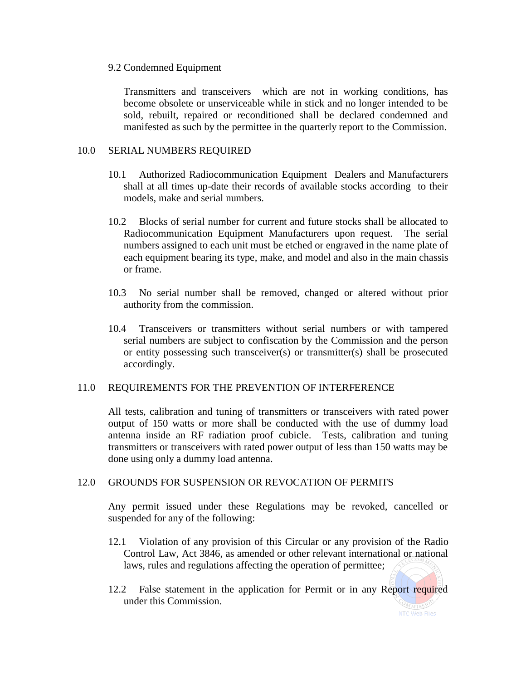#### 9.2 Condemned Equipment

Transmitters and transceivers which are not in working conditions, has become obsolete or unserviceable while in stick and no longer intended to be sold, rebuilt, repaired or reconditioned shall be declared condemned and manifested as such by the permittee in the quarterly report to the Commission.

## 10.0 SERIAL NUMBERS REQUIRED

- 10.1 Authorized Radiocommunication Equipment Dealers and Manufacturers shall at all times up-date their records of available stocks according to their models, make and serial numbers.
- 10.2 Blocks of serial number for current and future stocks shall be allocated to Radiocommunication Equipment Manufacturers upon request. The serial numbers assigned to each unit must be etched or engraved in the name plate of each equipment bearing its type, make, and model and also in the main chassis or frame.
- 10.3 No serial number shall be removed, changed or altered without prior authority from the commission.
- 10.4 Transceivers or transmitters without serial numbers or with tampered serial numbers are subject to confiscation by the Commission and the person or entity possessing such transceiver(s) or transmitter(s) shall be prosecuted accordingly.

#### 11.0 REQUIREMENTS FOR THE PREVENTION OF INTERFERENCE

All tests, calibration and tuning of transmitters or transceivers with rated power output of 150 watts or more shall be conducted with the use of dummy load antenna inside an RF radiation proof cubicle. Tests, calibration and tuning transmitters or transceivers with rated power output of less than 150 watts may be done using only a dummy load antenna.

#### 12.0 GROUNDS FOR SUSPENSION OR REVOCATION OF PERMITS

Any permit issued under these Regulations may be revoked, cancelled or suspended for any of the following:

- 12.1 Violation of any provision of this Circular or any provision of the Radio Control Law, Act 3846, as amended or other relevant international or national laws, rules and regulations affecting the operation of permittee;
- 12.2 False statement in the application for Permit or in any Report required under this Commission.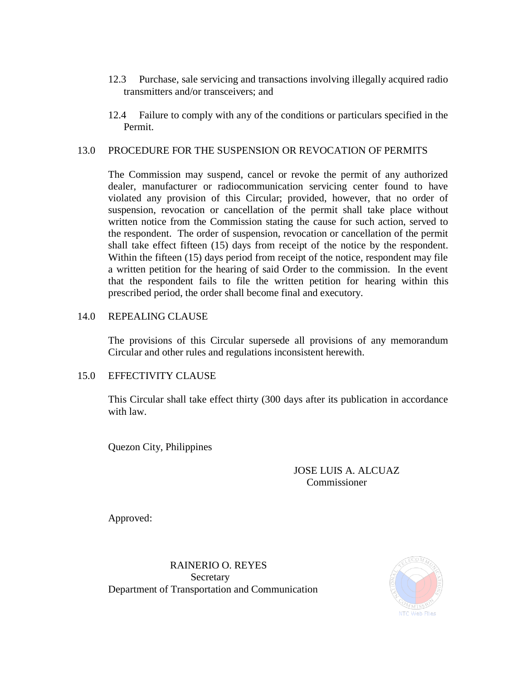- 12.3 Purchase, sale servicing and transactions involving illegally acquired radio transmitters and/or transceivers; and
- 12.4 Failure to comply with any of the conditions or particulars specified in the Permit.

## 13.0 PROCEDURE FOR THE SUSPENSION OR REVOCATION OF PERMITS

The Commission may suspend, cancel or revoke the permit of any authorized dealer, manufacturer or radiocommunication servicing center found to have violated any provision of this Circular; provided, however, that no order of suspension, revocation or cancellation of the permit shall take place without written notice from the Commission stating the cause for such action, served to the respondent. The order of suspension, revocation or cancellation of the permit shall take effect fifteen (15) days from receipt of the notice by the respondent. Within the fifteen (15) days period from receipt of the notice, respondent may file a written petition for the hearing of said Order to the commission. In the event that the respondent fails to file the written petition for hearing within this prescribed period, the order shall become final and executory.

### 14.0 REPEALING CLAUSE

The provisions of this Circular supersede all provisions of any memorandum Circular and other rules and regulations inconsistent herewith.

#### 15.0 EFFECTIVITY CLAUSE

This Circular shall take effect thirty (300 days after its publication in accordance with law.

Quezon City, Philippines

## JOSE LUIS A. ALCUAZ Commissioner

Approved:

RAINERIO O. REYES Secretary Department of Transportation and Communication